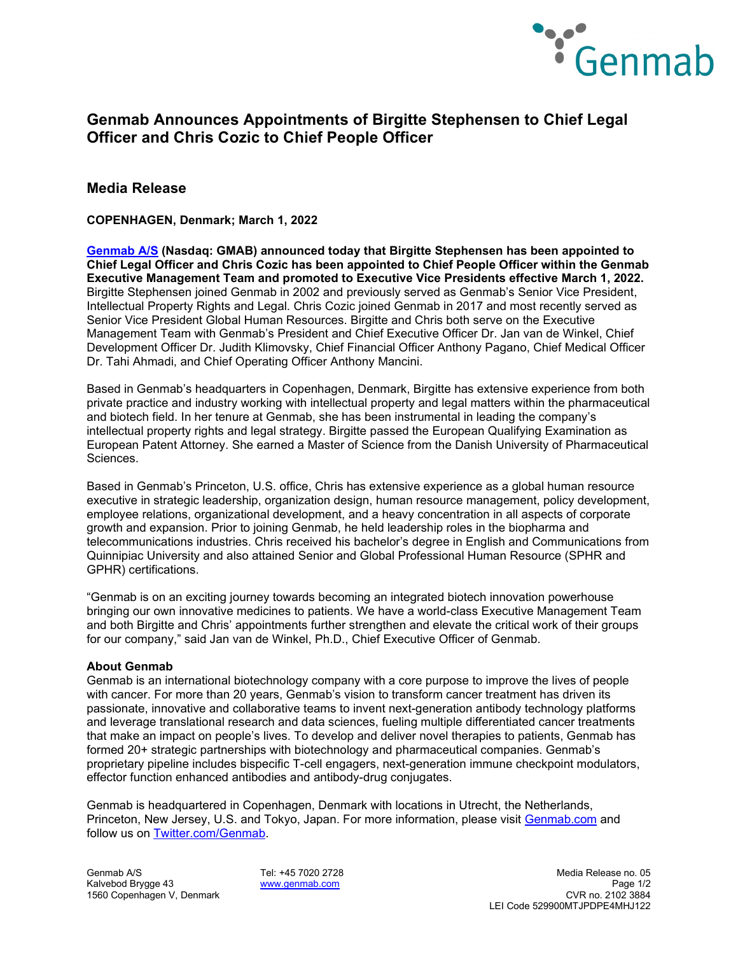

# **Genmab Announces Appointments of Birgitte Stephensen to Chief Legal Officer and Chris Cozic to Chief People Officer**

### **Media Release**

**COPENHAGEN, Denmark; March 1, 2022**

**[Genmab A/S](https://www.genmab.com/) (Nasdaq: GMAB) announced today that Birgitte Stephensen has been appointed to Chief Legal Officer and Chris Cozic has been appointed to Chief People Officer within the Genmab Executive Management Team and promoted to Executive Vice Presidents effective March 1, 2022.**  Birgitte Stephensen joined Genmab in 2002 and previously served as Genmab's Senior Vice President, Intellectual Property Rights and Legal. Chris Cozic joined Genmab in 2017 and most recently served as Senior Vice President Global Human Resources. Birgitte and Chris both serve on the Executive Management Team with Genmab's President and Chief Executive Officer Dr. Jan van de Winkel, Chief Development Officer Dr. Judith Klimovsky, Chief Financial Officer Anthony Pagano, Chief Medical Officer Dr. Tahi Ahmadi, and Chief Operating Officer Anthony Mancini.

Based in Genmab's headquarters in Copenhagen, Denmark, Birgitte has extensive experience from both private practice and industry working with intellectual property and legal matters within the pharmaceutical and biotech field. In her tenure at Genmab, she has been instrumental in leading the company's intellectual property rights and legal strategy. Birgitte passed the European Qualifying Examination as European Patent Attorney. She earned a Master of Science from the Danish University of Pharmaceutical Sciences.

Based in Genmab's Princeton, U.S. office, Chris has extensive experience as a global human resource executive in strategic leadership, organization design, human resource management, policy development, employee relations, organizational development, and a heavy concentration in all aspects of corporate growth and expansion. Prior to joining Genmab, he held leadership roles in the biopharma and telecommunications industries. Chris received his bachelor's degree in English and Communications from Quinnipiac University and also attained Senior and Global Professional Human Resource (SPHR and GPHR) certifications.

"Genmab is on an exciting journey towards becoming an integrated biotech innovation powerhouse bringing our own innovative medicines to patients. We have a world-class Executive Management Team and both Birgitte and Chris' appointments further strengthen and elevate the critical work of their groups for our company," said Jan van de Winkel, Ph.D., Chief Executive Officer of Genmab.

### **About Genmab**

Genmab is an international biotechnology company with a core purpose to improve the lives of people with cancer. For more than 20 years, Genmab's vision to transform cancer treatment has driven its passionate, innovative and collaborative teams to invent next-generation antibody technology platforms and leverage translational research and data sciences, fueling multiple differentiated cancer treatments that make an impact on people's lives. To develop and deliver novel therapies to patients, Genmab has formed 20+ strategic partnerships with biotechnology and pharmaceutical companies. Genmab's proprietary pipeline includes bispecific T-cell engagers, next-generation immune checkpoint modulators, effector function enhanced antibodies and antibody-drug conjugates.

Genmab is headquartered in Copenhagen, Denmark with locations in Utrecht, the Netherlands, Princeton, New Jersey, U.S. and Tokyo, Japan. For more information, please visit [Genmab.com](https://www.genmab.com/) and follow us on [Twitter.com/Genmab.](https://twitter.com/Genmab)

1560 Copenhagen V, Denmark

Genmab A/S Tel: +45 7020 2728 Media Release no. 05 Kalvebod Brygge 43 **[www.genmab.com](http://www.genmab.com/) Page 1/2**<br>1560 Copenhagen V, Denmark et al. et al. et al. et al. et al. et al. et al. et al. et al. et al. et al. et al. LEI Code 529900MTJPDPE4MHJ122